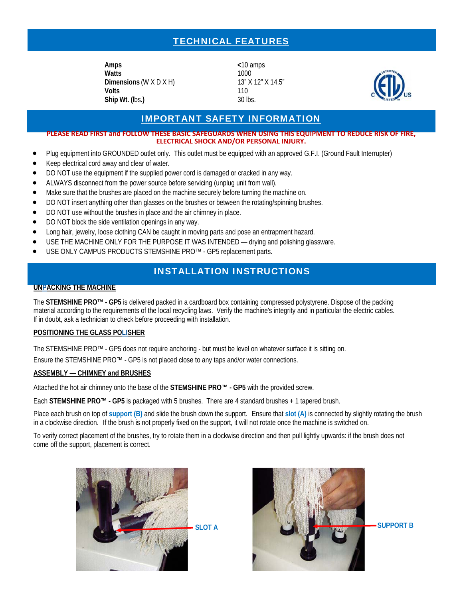# TECHNICAL FEATURES

**Amps <**10 amps **Watts** 1000 **Dimensions (W X D X H)** 13" X 12" X 14.5" **Volts** 110 **Ship Wt. (**lbs**.)** 30 lbs.



### IMPORTANT SAFETY INFORMATION

**PLEASE READ FIRST and FOLLOW THESE BASIC SAFEGUARDS WHEN USING THIS EQUIPMENT TO REDUCE RISK OF FIRE, ELECTRICAL SHOCK AND/OR PERSONAL INJURY.** 

- Plug equipment into GROUNDED outlet only. This outlet must be equipped with an approved G.F.I. (Ground Fault Interrupter)
- Keep electrical cord away and clear of water.
- DO NOT use the equipment if the supplied power cord is damaged or cracked in any way.
- ALWAYS disconnect from the power source before servicing (unplug unit from wall).
- Make sure that the brushes are placed on the machine securely before turning the machine on.
- DO NOT insert anything other than glasses on the brushes or between the rotating/spinning brushes.
- DO NOT use without the brushes in place and the air chimney in place.
- DO NOT block the side ventilation openings in any way.
- Long hair, jewelry, loose clothing CAN be caught in moving parts and pose an entrapment hazard.
- USE THE MACHINE ONLY FOR THE PURPOSE IT WAS INTENDED drying and polishing glassware.
- USE ONLY CAMPUS PRODUCTS STEMSHINE PRO™ GP5 replacement parts.

## INSTALLATION INSTRUCTIONS

#### **UNPACKING THE MACHINE**

The **STEMSHINE PRO™ - GP5** is delivered packed in a cardboard box containing compressed polystyrene. Dispose of the packing material according to the requirements of the local recycling laws. Verify the machine's integrity and in particular the electric cables. If in doubt, ask a technician to check before proceeding with installation.

#### **POSITIONING THE GLASS POLISHER**

The STEMSHINE PRO™ - GP5 does not require anchoring - but must be level on whatever surface it is sitting on. Ensure the STEMSHINE PRO™ - GP5 is not placed close to any taps and/or water connections.

#### **ASSEMBLY — CHIMNEY and BRUSHES**

Attached the hot air chimney onto the base of the **STEMSHINE PRO™ - GP5** with the provided screw.

Each **STEMSHINE PRO™ - GP5** is packaged with 5 brushes. There are 4 standard brushes + 1 tapered brush.

Place each brush on top of **support (B)** and slide the brush down the support. Ensure that **slot (A)** is connected by slightly rotating the brush in a clockwise direction. If the brush is not properly fixed on the support, it will not rotate once the machine is switched on.

To verify correct placement of the brushes, try to rotate them in a clockwise direction and then pull lightly upwards: if the brush does not come off the support, placement is correct.



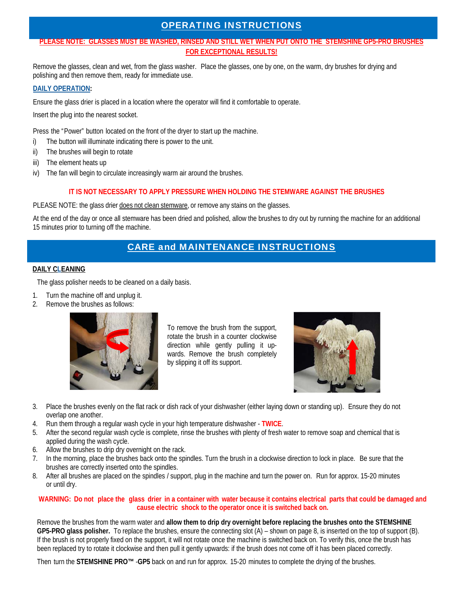## OPERATING INSTRUCTIONS

### **PLEASE NOTE: GLASSES MUST BE WASHED, RINSED AND STILL WET WHEN PUT ONTO THE STEMSHINE GP5-PRO BRUSHES FOR EXCEPTIONAL RESULTS!**

Remove the glasses, clean and wet, from the glass washer. Place the glasses, one by one, on the warm, dry brushes for drying and polishing and then remove them, ready for immediate use.

### **DAILY OPERATION:**

Ensure the glass drier is placed in a location where the operator will find it comfortable to operate.

Insert the plug into the nearest socket.

Press the "Power" button located on the front of the dryer to start up the machine.

- i) The button will illuminate indicating there is power to the unit.
- ii) The brushes will begin to rotate
- iii) The element heats up
- iv) The fan will begin to circulate increasingly warm air around the brushes.

#### **IT IS NOT NECESSARY TO APPLY PRESSURE WHEN HOLDING THE STEMWARE AGAINST THE BRUSHES**

PLEASE NOTE: the glass drier does not clean stemware, or remove any stains on the glasses.

At the end of the day or once all stemware has been dried and polished, allow the brushes to dry out by running the machine for an additional 15 minutes prior to turning off the machine.

## CARE and MAINTENANCE INSTRUCTIONS

#### **DAILY CLEANING**

The glass polisher needs to be cleaned on a daily basis.

- 1. Turn the machine off and unplug it.
- 2. Remove the brushes as follows:



To remove the brush from the support, rotate the brush in a counter clockwise direction while gently pulling it upwards. Remove the brush completely by slipping it off its support.



- 3. Place the brushes evenly on the flat rack or dish rack of your dishwasher (either laying down or standing up). Ensure they do not overlap one another.
- 4. Run them through a regular wash cycle in your high temperature dishwasher **TWICE**.
- 5. After the second regular wash cycle is complete, rinse the brushes with plenty of fresh water to remove soap and chemical that is applied during the wash cycle.
- 6. Allow the brushes to drip dry overnight on the rack.
- 7. In the morning, place the brushes back onto the spindles. Turn the brush in a clockwise direction to lock in place. Be sure that the brushes are correctly inserted onto the spindles.
- 8. After all brushes are placed on the spindles / support, plug in the machine and turn the power on. Run for approx. 15-20 minutes or until dry.

#### **WARNING: Do not place the glass drier in a container with water because it contains electrical parts that could be damaged and cause electric shock to the operator once it is switched back on.**

Remove the brushes from the warm water and **allow them to drip dry overnight before replacing the brushes onto the STEMSHINE GP5-PRO glass polisher.** To replace the brushes, ensure the connecting slot (A) – shown on page 8, is inserted on the top of support (B). If the brush is not properly fixed on the support, it will not rotate once the machine is switched back on. To verify this, once the brush has been replaced try to rotate it clockwise and then pull it gently upwards: if the brush does not come off it has been placed correctly.

Then turn the **STEMSHINE PRO™** -**GP5** back on and run for approx. 15-20 minutes to complete the drying of the brushes.